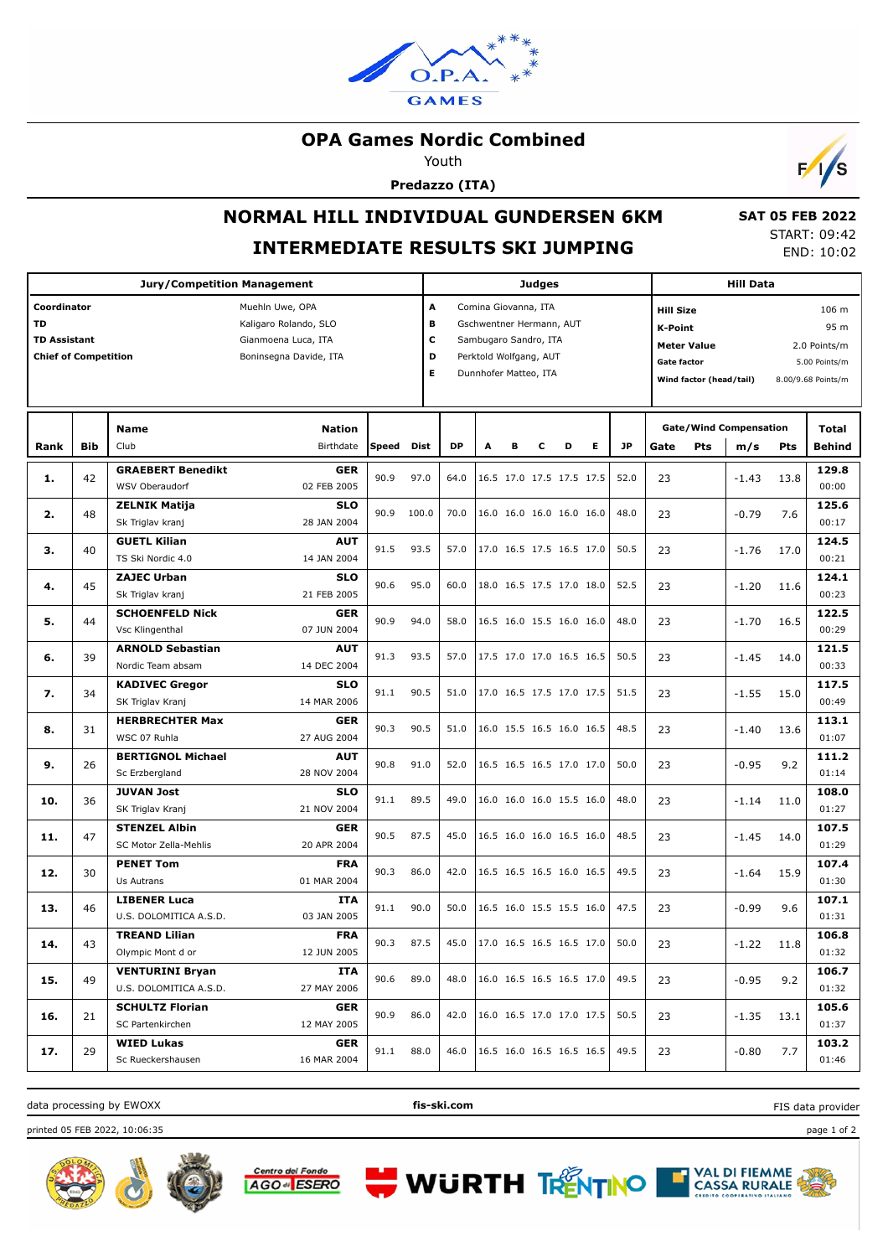

### **OPA Games Nordic Combined**

Youth

**Predazzo (ITA)**



## **NORMAL HILL INDIVIDUAL GUNDERSEN 6KM INTERMEDIATE RESULTS SKI JUMPING**

 **SAT 05 FEB 2022** START: 09:42 END: 10:02

|                                                                         |     | <b>Judges</b>                                    |                                                                                           |              |       |                                                                                                                                                       |                                                                |   | <b>Hill Data</b> |                          |                          |                                                                                             |      |            |                                                                                 |      |                 |
|-------------------------------------------------------------------------|-----|--------------------------------------------------|-------------------------------------------------------------------------------------------|--------------|-------|-------------------------------------------------------------------------------------------------------------------------------------------------------|----------------------------------------------------------------|---|------------------|--------------------------|--------------------------|---------------------------------------------------------------------------------------------|------|------------|---------------------------------------------------------------------------------|------|-----------------|
| Coordinator<br>TD<br><b>TD Assistant</b><br><b>Chief of Competition</b> |     |                                                  | Muehln Uwe, OPA<br>Kaligaro Rolando, SLO<br>Gianmoena Luca, ITA<br>Boninsegna Davide, ITA |              |       | Α<br>Comina Giovanna, ITA<br>в<br>Gschwentner Hermann, AUT<br>c<br>Sambugaro Sandro, ITA<br>D<br>Perktold Wolfgang, AUT<br>Е<br>Dunnhofer Matteo, ITA |                                                                |   |                  |                          |                          | <b>Hill Size</b><br>K-Point<br><b>Meter Value</b><br>Gate factor<br>Wind factor (head/tail) |      |            | 106 <sub>m</sub><br>95 m<br>2.0 Points/m<br>5.00 Points/m<br>8.00/9.68 Points/m |      |                 |
| Rank                                                                    | Bib | Name<br>Club                                     | <b>Nation</b><br>Birthdate                                                                | <b>Speed</b> | Dist  | <b>DP</b>                                                                                                                                             | A                                                              | в | c                | D                        | Е                        | <b>JP</b>                                                                                   | Gate | <b>Pts</b> | <b>Gate/Wind Compensation</b><br>m/s                                            | Pts  | Total<br>Behind |
| 1.                                                                      | 42  | <b>GRAEBERT Benedikt</b><br>WSV Oberaudorf       | <b>GER</b><br>02 FEB 2005                                                                 | 90.9         | 97.0  | 64.0                                                                                                                                                  |                                                                |   |                  | 16.5 17.0 17.5 17.5 17.5 |                          | 52.0                                                                                        | 23   |            | $-1.43$                                                                         | 13.8 | 129.8<br>00:00  |
| 2.                                                                      | 48  | <b>ZELNIK Matija</b><br>Sk Triglav kranj         | <b>SLO</b><br>28 JAN 2004                                                                 | 90.9         | 100.0 | 70.0                                                                                                                                                  |                                                                |   |                  | 16.0 16.0 16.0 16.0 16.0 |                          | 48.0                                                                                        | 23   |            | $-0.79$                                                                         | 7.6  | 125.6<br>00:17  |
| з.                                                                      | 40  | <b>GUETL Kilian</b><br>TS Ski Nordic 4.0         | <b>AUT</b><br>14 JAN 2004                                                                 | 91.5         | 93.5  | 57.0                                                                                                                                                  |                                                                |   |                  | 17.0 16.5 17.5 16.5 17.0 |                          | 50.5                                                                                        | 23   |            | $-1.76$                                                                         | 17.0 | 124.5<br>00:21  |
| 4.                                                                      | 45  | <b>ZAJEC Urban</b><br>Sk Triglav kranj           | <b>SLO</b><br>21 FEB 2005                                                                 | 90.6         | 95.0  | 60.0                                                                                                                                                  |                                                                |   |                  | 18.0 16.5 17.5 17.0 18.0 |                          | 52.5                                                                                        | 23   |            | $-1.20$                                                                         | 11.6 | 124.1<br>00:23  |
| 5.                                                                      | 44  | <b>SCHOENFELD Nick</b><br>Vsc Klingenthal        | <b>GER</b><br>07 JUN 2004                                                                 | 90.9         | 94.0  | 58.0                                                                                                                                                  |                                                                |   |                  | 16.5 16.0 15.5 16.0 16.0 |                          | 48.0                                                                                        | 23   |            | $-1.70$                                                                         | 16.5 | 122.5<br>00:29  |
| 6.                                                                      | 39  | <b>ARNOLD Sebastian</b><br>Nordic Team absam     | <b>AUT</b><br>14 DEC 2004                                                                 | 91.3         | 93.5  | 57.0                                                                                                                                                  |                                                                |   |                  | 17.5 17.0 17.0 16.5 16.5 |                          | 50.5                                                                                        | 23   |            | $-1.45$                                                                         | 14.0 | 121.5<br>00:33  |
| 7.                                                                      | 34  | <b>KADIVEC Gregor</b><br>SK Triglav Kranj        | <b>SLO</b><br>14 MAR 2006                                                                 | 91.1         | 90.5  | 51.0                                                                                                                                                  |                                                                |   |                  | 17.0 16.5 17.5 17.0 17.5 |                          | 51.5                                                                                        | 23   |            | $-1.55$                                                                         | 15.0 | 117.5<br>00:49  |
| 8.                                                                      | 31  | <b>HERBRECHTER Max</b><br>WSC 07 Ruhla           | <b>GER</b><br>27 AUG 2004                                                                 | 90.3         | 90.5  | 51.0                                                                                                                                                  |                                                                |   |                  | 16.0 15.5 16.5 16.0 16.5 |                          | 48.5                                                                                        | 23   |            | $-1.40$                                                                         | 13.6 | 113.1<br>01:07  |
| 9.                                                                      | 26  | <b>BERTIGNOL Michael</b><br>Sc Erzbergland       | <b>AUT</b><br>28 NOV 2004                                                                 | 90.8         | 91.0  | 52.0                                                                                                                                                  |                                                                |   |                  | 16.5 16.5 16.5 17.0 17.0 |                          | 50.0                                                                                        | 23   |            | $-0.95$                                                                         | 9.2  | 111.2<br>01:14  |
| 10.                                                                     | 36  | <b>JUVAN Jost</b><br>SK Triglav Kranj            | <b>SLO</b><br>21 NOV 2004                                                                 | 91.1         | 89.5  | 49.0                                                                                                                                                  |                                                                |   |                  | 16.0 16.0 16.0 15.5 16.0 |                          | 48.0                                                                                        | 23   |            | $-1.14$                                                                         | 11.0 | 108.0<br>01:27  |
| 11.                                                                     | 47  | <b>STENZEL Albin</b><br>SC Motor Zella-Mehlis    | <b>GER</b><br>20 APR 2004                                                                 | 90.5         | 87.5  | 45.0                                                                                                                                                  |                                                                |   |                  | 16.5 16.0 16.0 16.5 16.0 |                          | 48.5                                                                                        | 23   |            | $-1.45$                                                                         | 14.0 | 107.5<br>01:29  |
| 12.                                                                     | 30  | <b>PENET Tom</b><br>Us Autrans                   | <b>FRA</b><br>01 MAR 2004                                                                 | 90.3         | 86.0  | 42.0                                                                                                                                                  |                                                                |   |                  | 16.5 16.5 16.5 16.0 16.5 |                          | 49.5                                                                                        | 23   |            | $-1.64$                                                                         | 15.9 | 107.4<br>01:30  |
| 13.                                                                     | 46  | <b>LIBENER Luca</b><br>U.S. DOLOMITICA A.S.D.    | <b>ITA</b><br>03 JAN 2005                                                                 | 91.1         | 90.0  | 50.0                                                                                                                                                  |                                                                |   |                  | 16.5 16.0 15.5 15.5 16.0 |                          | 47.5                                                                                        | 23   |            | $-0.99$                                                                         | 9.6  | 107.1<br>01:31  |
| 14.                                                                     | 43  | <b>TREAND Lilian</b><br>Olympic Mont d or        | <b>FRA</b><br>12 JUN 2005                                                                 | 90.3         | 87.5  | 45.0                                                                                                                                                  | $\vert 17.0 \vert 16.5 \vert 16.5 \vert 16.5 \vert 17.0 \vert$ |   |                  |                          |                          | 50.0                                                                                        | 23   |            | $-1.22$                                                                         | 11.8 | 106.8<br>01:32  |
| 15.                                                                     | 49  | <b>VENTURINI Bryan</b><br>U.S. DOLOMITICA A.S.D. | ITA<br>27 MAY 2006                                                                        | 90.6         | 89.0  | 48.0                                                                                                                                                  |                                                                |   |                  |                          | 16.0 16.5 16.5 16.5 17.0 | 49.5                                                                                        | 23   |            | $-0.95$                                                                         | 9.2  | 106.7<br>01:32  |
| 16.                                                                     | 21  | <b>SCHULTZ Florian</b><br>SC Partenkirchen       | <b>GER</b><br>12 MAY 2005                                                                 | 90.9         | 86.0  | 42.0                                                                                                                                                  |                                                                |   |                  | 16.0 16.5 17.0 17.0 17.5 |                          | 50.5                                                                                        | 23   |            | $-1.35$                                                                         | 13.1 | 105.6<br>01:37  |
| 17.                                                                     | 29  | <b>WIED Lukas</b><br>Sc Rueckershausen           | <b>GER</b><br>16 MAR 2004                                                                 | 91.1         | 88.0  | 46.0                                                                                                                                                  |                                                                |   |                  | 16.5 16.0 16.5 16.5 16.5 |                          | 49.5                                                                                        | 23   |            | $-0.80$                                                                         | 7.7  | 103.2<br>01:46  |

data processing by EWOXX **fis-ski.com**

FIS data provider

printed 05 FEB 2022, 10:06:35 page 1 of 2